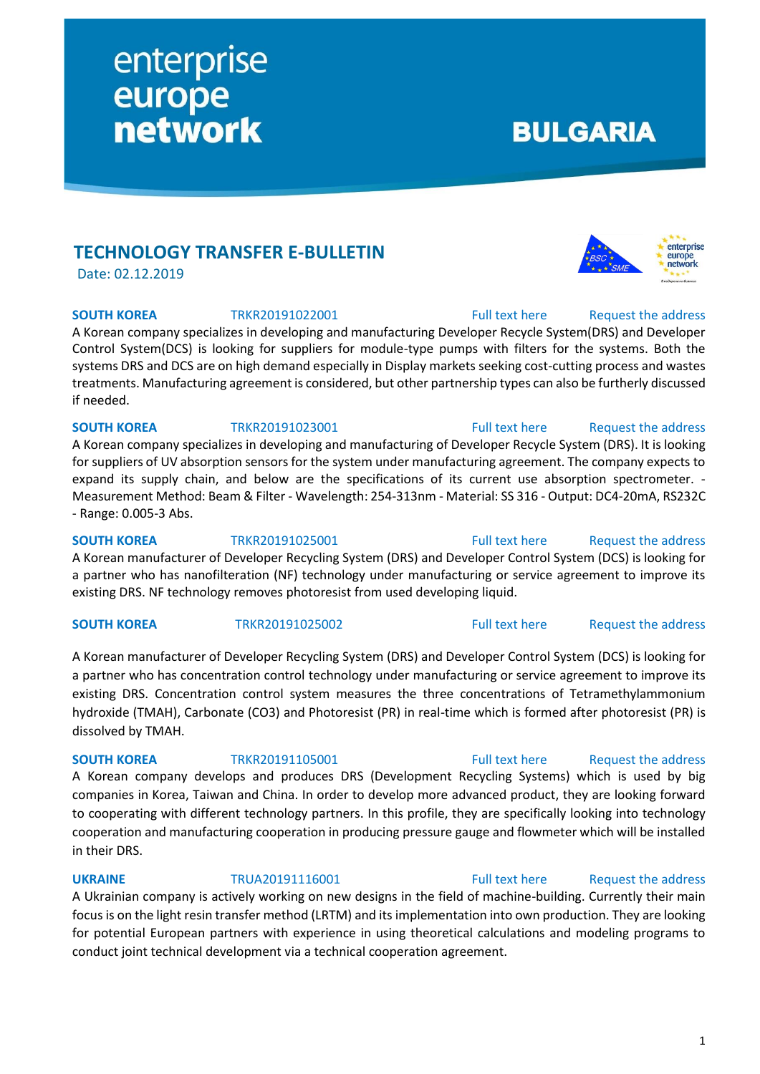## **TECHNOLOGY TRANSFER E-BULLETIN**

enterprise

**network** 

europe

Date: 02.12.2019

### **SOUTH KOREA** TRKR20191022001 [Full text here](https://een.ec.europa.eu/tools/services/PRO/Profile/Detail/420ba72b-fde5-4bdc-9906-430a9170ccb7) Request the address

A Korean company specializes in developing and manufacturing Developer Recycle System(DRS) and Developer Control System(DCS) is looking for suppliers for module-type pumps with filters for the systems. Both the systems DRS and DCS are on high demand especially in Display markets seeking cost-cutting process and wastes treatments. Manufacturing agreement is considered, but other partnership types can also be furtherly discussed if needed.

## **SOUTH KOREA** TRKR20191023001 [Full text here](https://een.ec.europa.eu/tools/services/PRO/Profile/Detail/7347a2c7-4d8e-4201-bd2a-3c23bf644a71) Request the address A Korean company specializes in developing and manufacturing of Developer Recycle System (DRS). It is looking for suppliers of UV absorption sensors for the system under manufacturing agreement. The company expects to expand its supply chain, and below are the specifications of its current use absorption spectrometer. - Measurement Method: Beam & Filter - Wavelength: 254-313nm - Material: SS 316 - Output: DC4-20mA, RS232C

**SOUTH KOREA** TRKR20191025001 [Full text here](https://een.ec.europa.eu/tools/services/PRO/Profile/Detail/a9c6500a-96fc-4c50-8e35-fa04ac1715e3) Request [the address](http://www.een.bg/index.php?option=com_rsform&formId=13) A Korean manufacturer of Developer Recycling System (DRS) and Developer Control System (DCS) is looking for a partner who has nanofilteration (NF) technology under manufacturing or service agreement to improve its existing DRS. NF technology removes photoresist from used developing liquid.

A Korean manufacturer of Developer Recycling System (DRS) and Developer Control System (DCS) is looking for a partner who has concentration control technology under manufacturing or service agreement to improve its existing DRS. Concentration control system measures the three concentrations of Tetramethylammonium hydroxide (TMAH), Carbonate (CO3) and Photoresist (PR) in real-time which is formed after photoresist (PR) is dissolved by TMAH.

## **SOUTH KOREA** TRKR20191105001 [Full text here](https://een.ec.europa.eu/tools/services/PRO/Profile/Detail/bc850619-e070-4044-ab4f-8e0e2d06ea62) Request the address

A Korean company develops and produces DRS (Development Recycling Systems) which is used by big companies in Korea, Taiwan and China. In order to develop more advanced product, they are looking forward to cooperating with different technology partners. In this profile, they are specifically looking into technology cooperation and manufacturing cooperation in producing pressure gauge and flowmeter which will be installed in their DRS.

A Ukrainian company is actively working on new designs in the field of machine-building. Currently their main focus is on the light resin transfer method (LRTM) and its implementation into own production. They are looking for potential European partners with experience in using theoretical calculations and modeling programs to conduct joint technical development via a technical cooperation agreement.

# **BULGARIA**



**SOUTH KOREA** TRKR20191025002 [Full text here](https://een.ec.europa.eu/tools/services/PRO/Profile/Detail/0a72c48a-5007-4538-ad14-7d4a3efd64e6) Request [the address](http://www.een.bg/index.php?option=com_rsform&formId=13)

## **UKRAINE** TRUA20191116001 [Full text here](https://een.ec.europa.eu/tools/services/PRO/Profile/Detail/6c976d3d-bc98-49e1-93bf-da2c68a2fdf5) Request the address

# - Range: 0.005-3 Abs.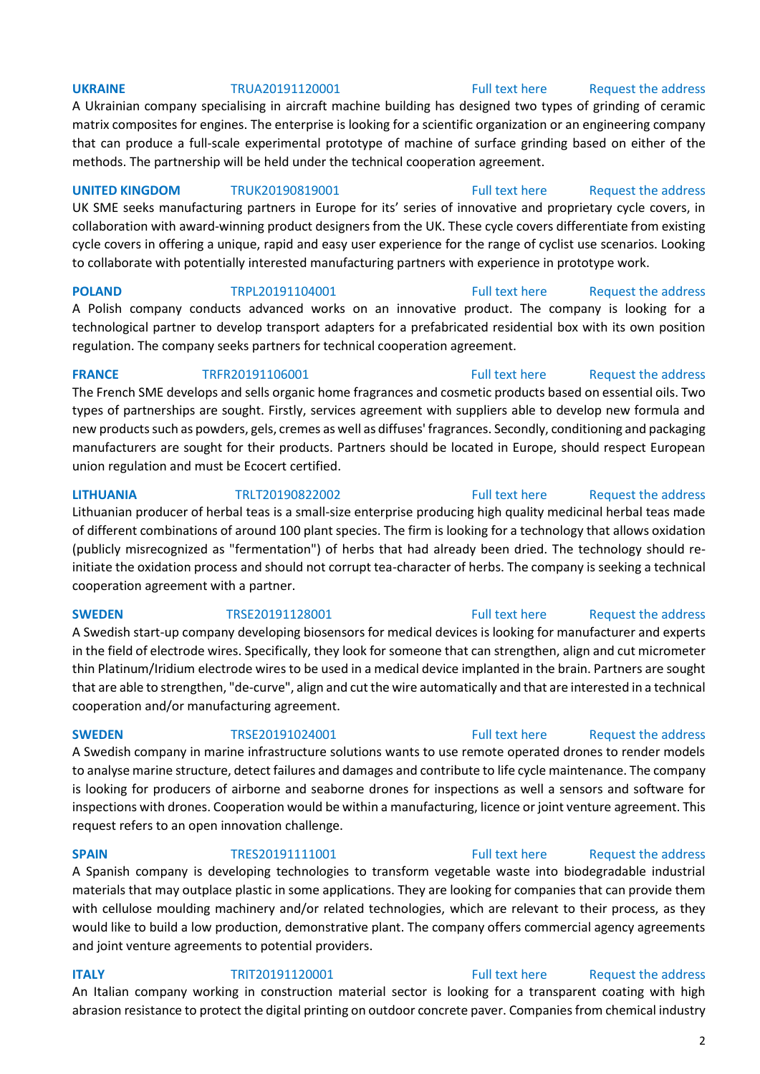**UKRAINE** TRUA20191120001 [Full text here](https://een.ec.europa.eu/tools/services/PRO/Profile/Detail/86d73297-4227-4da8-a3cb-bfda748b5208) Request [the address](http://www.een.bg/index.php?option=com_rsform&formId=13)

A Ukrainian company specialising in aircraft machine building has designed two types of grinding of ceramic matrix composites for engines. The enterprise is looking for a scientific organization or an engineering company that can produce a full-scale experimental prototype of machine of surface grinding based on either of the methods. The partnership will be held under the technical cooperation agreement.

### **UNITED KINGDOM** TRUK20190819001 [Full text here](https://een.ec.europa.eu/tools/services/PRO/Profile/Detail/43d6b9c8-357a-485d-99a9-099b865a1cf8) Request [the address](http://www.een.bg/index.php?option=com_rsform&formId=13)

UK SME seeks manufacturing partners in Europe for its' series of innovative and proprietary cycle covers, in collaboration with award-winning product designers from the UK. These cycle covers differentiate from existing cycle covers in offering a unique, rapid and easy user experience for the range of cyclist use scenarios. Looking to collaborate with potentially interested manufacturing partners with experience in prototype work.

**POLAND** TRPL20191104001 [Full text here](https://een.ec.europa.eu/tools/services/PRO/Profile/Detail/713c4163-e94e-4c40-ae3b-f568536bd037) Request the address

A Polish company conducts advanced works on an innovative product. The company is looking for a technological partner to develop transport adapters for a prefabricated residential box with its own position regulation. The company seeks partners for technical cooperation agreement.

### **FRANCE** TRFR20191106001 [Full text here](https://een.ec.europa.eu/tools/services/PRO/Profile/Detail/27bf4cab-0607-4fc9-b164-c107dcade53d) Request the address

The French SME develops and sells organic home fragrances and cosmetic products based on essential oils. Two types of partnerships are sought. Firstly, services agreement with suppliers able to develop new formula and new products such as powders, gels, cremes as well as diffuses' fragrances. Secondly, conditioning and packaging manufacturers are sought for their products. Partners should be located in Europe, should respect European union regulation and must be Ecocert certified.

**LITHUANIA** TRLT20190822002 [Full text here](https://een.ec.europa.eu/tools/services/PRO/Profile/Detail/90795b75-775a-4192-84bf-abca4e531f7a) Request [the address](http://www.een.bg/index.php?option=com_rsform&formId=13)

Lithuanian producer of herbal teas is a small-size enterprise producing high quality medicinal herbal teas made of different combinations of around 100 plant species. The firm is looking for a technology that allows oxidation (publicly misrecognized as "fermentation") of herbs that had already been dried. The technology should reinitiate the oxidation process and should not corrupt tea-character of herbs. The company is seeking a technical cooperation agreement with a partner.

A Swedish start-up company developing biosensors for medical devices is looking for manufacturer and experts in the field of electrode wires. Specifically, they look for someone that can strengthen, align and cut micrometer thin Platinum/Iridium electrode wires to be used in a medical device implanted in the brain. Partners are sought that are able to strengthen, "de-curve", align and cut the wire automatically and that are interested in a technical cooperation and/or manufacturing agreement.

A Swedish company in marine infrastructure solutions wants to use remote operated drones to render models to analyse marine structure, detect failures and damages and contribute to life cycle maintenance. The company is looking for producers of airborne and seaborne drones for inspections as well a sensors and software for inspections with drones. Cooperation would be within a manufacturing, licence or joint venture agreement. This request refers to an open innovation challenge.

A Spanish company is developing technologies to transform vegetable waste into biodegradable industrial materials that may outplace plastic in some applications. They are looking for companies that can provide them with cellulose moulding machinery and/or related technologies, which are relevant to their process, as they would like to build a low production, demonstrative plant. The company offers commercial agency agreements and joint venture agreements to potential providers.

## **ITALY TRIT20191120001** [Full text here](https://een.ec.europa.eu/tools/services/PRO/Profile/Detail/f3b2a943-7698-4394-878e-ae84d21df27b) Request the address An Italian company working in construction material sector is looking for a transparent coating with high abrasion resistance to protect the digital printing on outdoor concrete paver. Companies from chemical industry

## 2

# **SWEDEN** TRSE20191128001 [Full text here](https://een.ec.europa.eu/tools/services/PRO/Profile/Detail/823ad3d8-5637-4bb2-9711-c8fb30217624) Request the address

## **SPAIN** TRES20191111001 [Full text here](https://een.ec.europa.eu/tools/services/PRO/Profile/Detail/3ff80867-c101-46fa-9f33-1a4e568c3a1c) Request the address

## **SWEDEN** TRSE20191024001 [Full text here](https://een.ec.europa.eu/tools/services/PRO/Profile/Detail/760824aa-2c52-4a71-875a-f5795e723c20) Request the address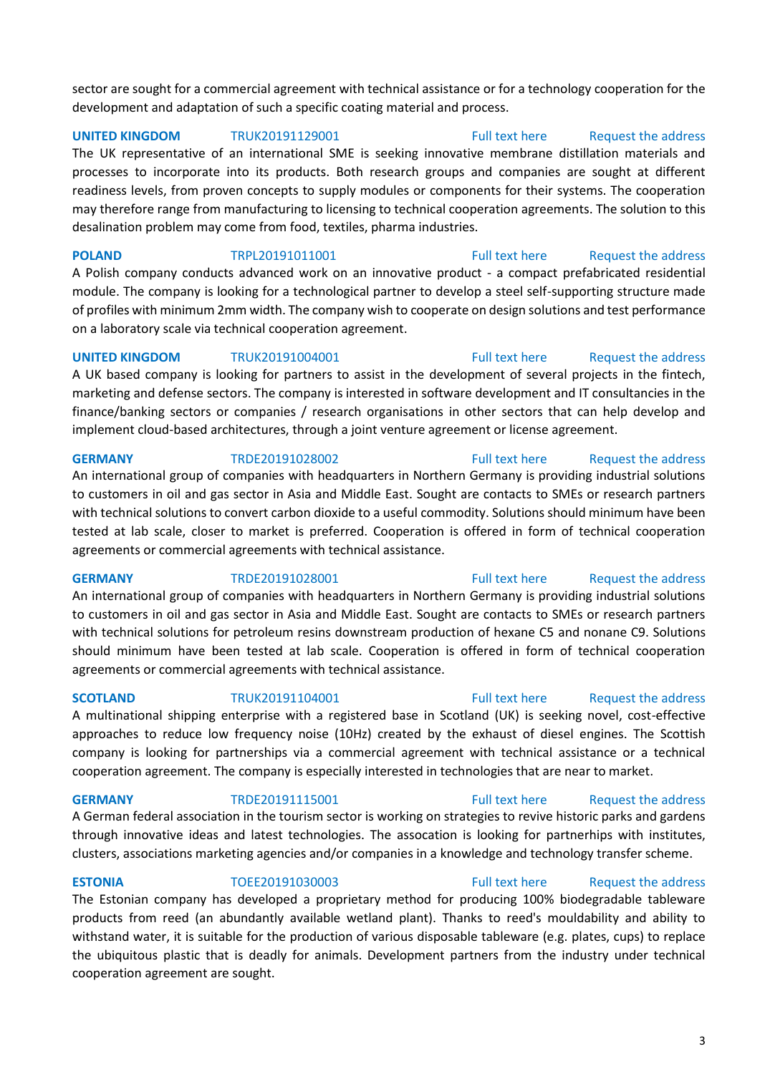sector are sought for a commercial agreement with technical assistance or for a technology cooperation for the development and adaptation of such a specific coating material and process.

**UNITED KINGDOM** TRUK20191129001 [Full text here](https://een.ec.europa.eu/tools/services/PRO/Profile/Detail/e8cb2a7b-e179-43c3-93ec-713da6f62c42) Request the address The UK representative of an international SME is seeking innovative membrane distillation materials and processes to incorporate into its products. Both research groups and companies are sought at different readiness levels, from proven concepts to supply modules or components for their systems. The cooperation may therefore range from manufacturing to licensing to technical cooperation agreements. The solution to this desalination problem may come from food, textiles, pharma industries.

**POLAND** TRPL20191011001 [Full text here](https://een.ec.europa.eu/tools/services/PRO/Profile/Detail/fa7e339a-08e3-4ce4-8abe-f5ce151bd8d0) Request the address A Polish company conducts advanced work on an innovative product - a compact prefabricated residential module. The company is looking for a technological partner to develop a steel self-supporting structure made of profiles with minimum 2mm width. The company wish to cooperate on design solutions and test performance on a laboratory scale via technical cooperation agreement.

**UNITED KINGDOM** TRUK20191004001 [Full text here](https://een.ec.europa.eu/tools/services/PRO/Profile/Detail/43361001-f526-4a4e-b015-a78b89fea59e) Request the address A UK based company is looking for partners to assist in the development of several projects in the fintech, marketing and defense sectors. The company is interested in software development and IT consultancies in the finance/banking sectors or companies / research organisations in other sectors that can help develop and implement cloud-based architectures, through a joint venture agreement or license agreement.

## **GERMANY** TRDE20191028002 [Full text here](https://een.ec.europa.eu/tools/services/PRO/Profile/Detail/2fd01139-f01b-4e09-b599-14c7eeba001b) [Request the address](http://www.een.bg/index.php?option=com_rsform&formId=13)

An international group of companies with headquarters in Northern Germany is providing industrial solutions to customers in oil and gas sector in Asia and Middle East. Sought are contacts to SMEs or research partners with technical solutions to convert carbon dioxide to a useful commodity. Solutions should minimum have been tested at lab scale, closer to market is preferred. Cooperation is offered in form of technical cooperation agreements or commercial agreements with technical assistance.

**GERMANY** TRDE20191028001 [Full text here](https://een.ec.europa.eu/tools/services/PRO/Profile/Detail/4b5a74af-6dad-44a6-959c-2e18131bb82e) Request the address

An international group of companies with headquarters in Northern Germany is providing industrial solutions to customers in oil and gas sector in Asia and Middle East. Sought are contacts to SMEs or research partners with technical solutions for petroleum resins downstream production of hexane C5 and nonane C9. Solutions should minimum have been tested at lab scale. Cooperation is offered in form of technical cooperation agreements or commercial agreements with technical assistance.

A multinational shipping enterprise with a registered base in Scotland (UK) is seeking novel, cost-effective approaches to reduce low frequency noise (10Hz) created by the exhaust of diesel engines. The Scottish company is looking for partnerships via a commercial agreement with technical assistance or a technical cooperation agreement. The company is especially interested in technologies that are near to market.

**GERMANY** TRDE20191115001 [Full text here](https://een.ec.europa.eu/tools/services/PRO/Profile/Detail/3f7e5f6e-0be0-42b5-af7b-b9cb86b34790) Request the address A German federal association in the tourism sector is working on strategies to revive historic parks and gardens through innovative ideas and latest technologies. The assocation is looking for partnerhips with institutes, clusters, associations marketing agencies and/or companies in a knowledge and technology transfer scheme.

**ESTONIA** TOEE20191030003 [Full text here](https://een.ec.europa.eu/tools/services/PRO/Profile/Detail/684d3a62-1c06-4a4a-8ec0-6a7d3667003e) Request the address The Estonian company has developed a proprietary method for producing 100% biodegradable tableware products from reed (an abundantly available wetland plant). Thanks to reed's mouldability and ability to withstand water, it is suitable for the production of various disposable tableware (e.g. plates, cups) to replace the ubiquitous plastic that is deadly for animals. Development partners from the industry under technical cooperation agreement are sought.

## **SCOTLAND** TRUK20191104001 [Full text here](https://een.ec.europa.eu/tools/services/PRO/Profile/Detail/c4fc4ef9-78cb-42a9-8e6a-e3ddd7805b26) Request the address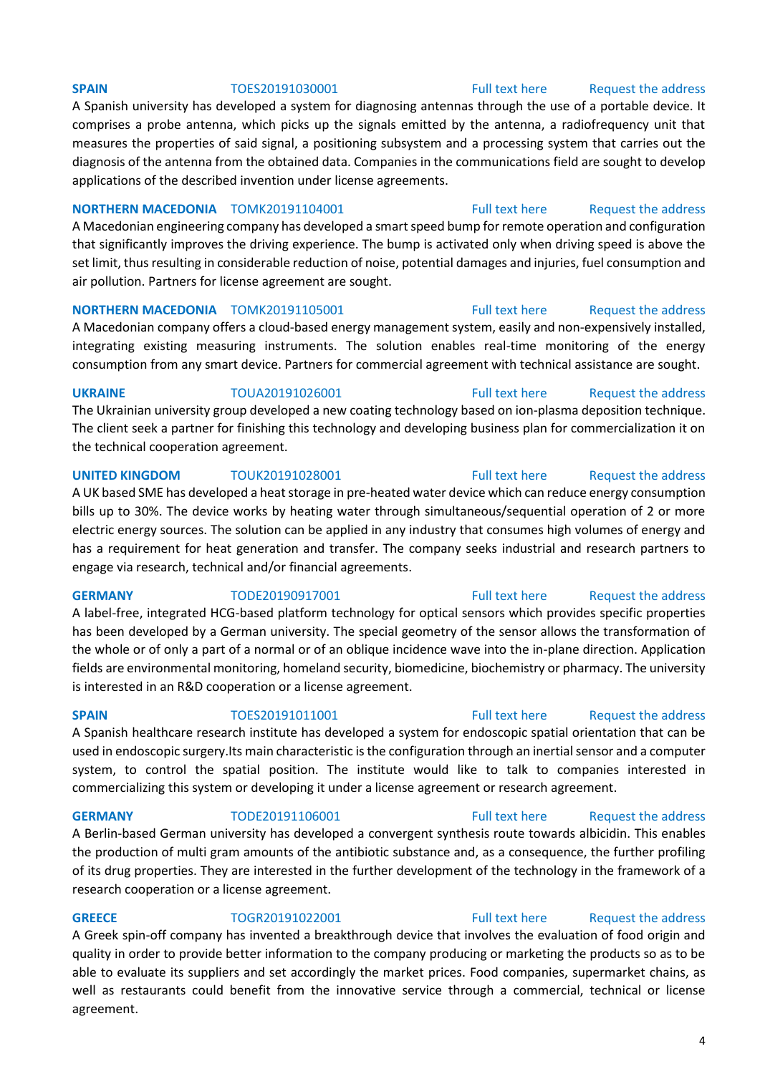A Spanish university has developed a system for diagnosing antennas through the use of a portable device. It comprises a probe antenna, which picks up the signals emitted by the antenna, a radiofrequency unit that measures the properties of said signal, a positioning subsystem and a processing system that carries out the diagnosis of the antenna from the obtained data. Companies in the communications field are sought to develop applications of the described invention under license agreements.

## **NORTHERN MACEDONIA** TOMK20191104001 [Full text here](https://een.ec.europa.eu/tools/services/PRO/Profile/Detail/ba30327c-2f4e-4a0d-855c-39f5df60db35) Request the address

A Macedonian engineering company has developed a smart speed bump for remote operation and configuration that significantly improves the driving experience. The bump is activated only when driving speed is above the set limit, thus resulting in considerable reduction of noise, potential damages and injuries, fuel consumption and air pollution. Partners for license agreement are sought.

## **NORTHERN MACEDONIA** TOMK20191105001 [Full text here](https://een.ec.europa.eu/tools/services/PRO/Profile/Detail/c6811a84-d8bb-4673-97a9-48f4d0f9e277) Request the address

A Macedonian company offers a cloud-based energy management system, easily and non-expensively installed, integrating existing measuring instruments. The solution enables real-time monitoring of the energy consumption from any smart device. Partners for commercial agreement with technical assistance are sought.

**UKRAINE** TOUA20191026001 [Full text here](https://een.ec.europa.eu/tools/services/PRO/Profile/Detail/ca4f5272-a121-4283-9303-ac0862c7c9ee) Request the address

The Ukrainian university group developed a new coating technology based on ion-plasma deposition technique. The client seek a partner for finishing this technology and developing business plan for commercialization it on the technical cooperation agreement.

### **UNITED KINGDOM** TOUK20191028001 [Full text here](https://een.ec.europa.eu/tools/services/PRO/Profile/Detail/cd6fa22e-4272-4545-a22f-b3d1284c49ab) Request the address

A UK based SME has developed a heat storage in pre-heated water device which can reduce energy consumption bills up to 30%. The device works by heating water through simultaneous/sequential operation of 2 or more electric energy sources. The solution can be applied in any industry that consumes high volumes of energy and has a requirement for heat generation and transfer. The company seeks industrial and research partners to engage via research, technical and/or financial agreements.

A label-free, integrated HCG-based platform technology for optical sensors which provides specific properties has been developed by a German university. The special geometry of the sensor allows the transformation of the whole or of only a part of a normal or of an oblique incidence wave into the in-plane direction. Application fields are environmental monitoring, homeland security, biomedicine, biochemistry or pharmacy. The university is interested in an R&D cooperation or a license agreement.

### **SPAIN** TOES20191011001 [Full text here](https://een.ec.europa.eu/tools/services/PRO/Profile/Detail/191c2974-4fef-4717-883c-f6e1a2a524a0) Request the address

A Spanish healthcare research institute has developed a system for endoscopic spatial orientation that can be used in endoscopic surgery.Its main characteristic is the configuration through an inertial sensor and a computer system, to control the spatial position. The institute would like to talk to companies interested in commercializing this system or developing it under a license agreement or research agreement.

### **GERMANY** TODE20191106001 [Full text here](https://een.ec.europa.eu/tools/services/PRO/Profile/Detail/2f6f091b-e43f-45b6-9ef2-44b111c085f7) Request the address

A Berlin-based German university has developed a convergent synthesis route towards albicidin. This enables the production of multi gram amounts of the antibiotic substance and, as a consequence, the further profiling of its drug properties. They are interested in the further development of the technology in the framework of a research cooperation or a license agreement.

**GREECE** TOGR20191022001 [Full text here](https://een.ec.europa.eu/tools/services/PRO/Profile/Detail/648470ba-5fd4-4337-a712-9230628e8c44) Request the address A Greek spin-off company has invented a breakthrough device that involves the evaluation of food origin and quality in order to provide better information to the company producing or marketing the products so as to be able to evaluate its suppliers and set accordingly the market prices. Food companies, supermarket chains, as well as restaurants could benefit from the innovative service through a commercial, technical or license agreement.

### **SPAIN** TOES20191030001 [Full text here](https://een.ec.europa.eu/tools/services/PRO/Profile/Detail/ab4f0eaa-42a7-42ec-8a26-0fd2d671de68) Request the address

## **GERMANY** TODE20190917001 [Full text here](https://een.ec.europa.eu/tools/services/PRO/Profile/Detail/d6323d1b-f149-4d29-adf2-b67ffadabff7) Request the address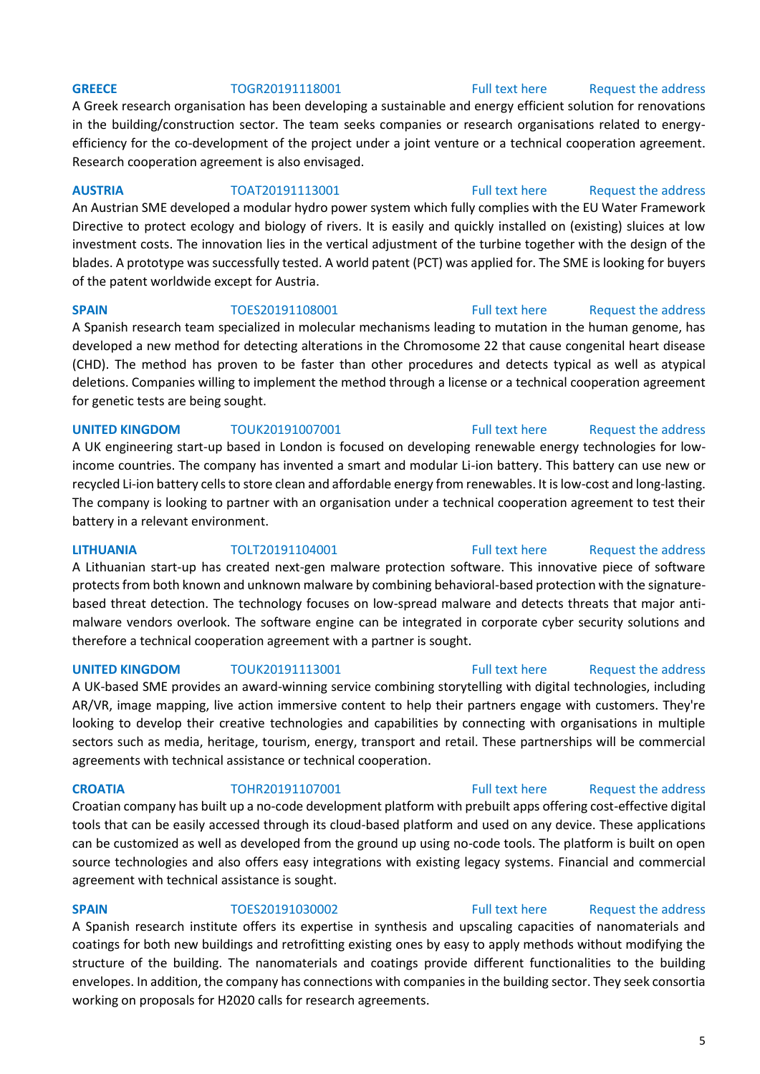### **GREECE** TOGR20191118001 [Full text here](https://een.ec.europa.eu/tools/services/PRO/Profile/Detail/bf230f49-19a4-48b4-964c-febf85720a47) Request the address

A Greek research organisation has been developing a sustainable and energy efficient solution for renovations in the building/construction sector. The team seeks companies or research organisations related to energyefficiency for the co-development of the project under a joint venture or a technical cooperation agreement. Research cooperation agreement is also envisaged.

**AUSTRIA** TOAT20191113001 [Full text here](https://een.ec.europa.eu/tools/services/PRO/Profile/Detail/a5af5e15-4dac-4b55-aba6-1086382346a6) [Request the address](http://www.een.bg/index.php?option=com_rsform&formId=13)  An Austrian SME developed a modular hydro power system which fully complies with the EU Water Framework Directive to protect ecology and biology of rivers. It is easily and quickly installed on (existing) sluices at low investment costs. The innovation lies in the vertical adjustment of the turbine together with the design of the blades. A prototype was successfully tested. A world patent (PCT) was applied for. The SME is looking for buyers of the patent worldwide except for Austria.

**SPAIN** TOES20191108001 [Full text here](https://een.ec.europa.eu/tools/services/PRO/Profile/Detail/7bc78f2e-4825-4eab-9a79-00abbd92bcd1) Request the address A Spanish research team specialized in molecular mechanisms leading to mutation in the human genome, has developed a new method for detecting alterations in the Chromosome 22 that cause congenital heart disease (CHD). The method has proven to be faster than other procedures and detects typical as well as atypical deletions. Companies willing to implement the method through a license or a technical cooperation agreement for genetic tests are being sought.

**UNITED KINGDOM** TOUK20191007001 [Full text here](https://een.ec.europa.eu/tools/services/PRO/Profile/Detail/bd4341c3-3116-415a-bd7c-11a8e501f174) Request the address A UK engineering start-up based in London is focused on developing renewable energy technologies for lowincome countries. The company has invented a smart and modular Li-ion battery. This battery can use new or recycled Li-ion battery cells to store clean and affordable energy from renewables. It is low-cost and long-lasting. The company is looking to partner with an organisation under a technical cooperation agreement to test their battery in a relevant environment.

**LITHUANIA** TOLT20191104001 [Full text here](https://een.ec.europa.eu/tools/services/PRO/Profile/Detail/387a16ba-aaa1-4678-b2de-580ae31aa165) [Request the address](http://www.een.bg/index.php?option=com_rsform&formId=13)  A Lithuanian start-up has created next-gen malware protection software. This innovative piece of software protects from both known and unknown malware by combining behavioral-based protection with the signaturebased threat detection. The technology focuses on low-spread malware and detects threats that major antimalware vendors overlook. The software engine can be integrated in corporate cyber security solutions and therefore a technical cooperation agreement with a partner is sought.

**UNITED KINGDOM** TOUK20191113001 [Full text here](https://een.ec.europa.eu/tools/services/PRO/Profile/Detail/60ca7d4d-3219-4f02-9dce-dbf31570cf2f) Request the address A UK-based SME provides an award-winning service combining storytelling with digital technologies, including

AR/VR, image mapping, live action immersive content to help their partners engage with customers. They're looking to develop their creative technologies and capabilities by connecting with organisations in multiple sectors such as media, heritage, tourism, energy, transport and retail. These partnerships will be commercial agreements with technical assistance or technical cooperation.

Croatian company has built up a no-code development platform with prebuilt apps offering cost-effective digital tools that can be easily accessed through its cloud-based platform and used on any device. These applications can be customized as well as developed from the ground up using no-code tools. The platform is built on open source technologies and also offers easy integrations with existing legacy systems. Financial and commercial agreement with technical assistance is sought.

**SPAIN** TOES20191030002 [Full text here](https://een.ec.europa.eu/tools/services/PRO/Profile/Detail/2561492b-f44f-4640-81a0-cab02cb8f6e8) Request the address A Spanish research institute offers its expertise in synthesis and upscaling capacities of nanomaterials and coatings for both new buildings and retrofitting existing ones by easy to apply methods without modifying the structure of the building. The nanomaterials and coatings provide different functionalities to the building envelopes. In addition, the company has connections with companies in the building sector. They seek consortia working on proposals for H2020 calls for research agreements.

## **CROATIA** TOHR20191107001 [Full text here](https://een.ec.europa.eu/tools/services/PRO/Profile/Detail/aa811fac-baac-4898-beeb-2f4d9bc98e80) Request the address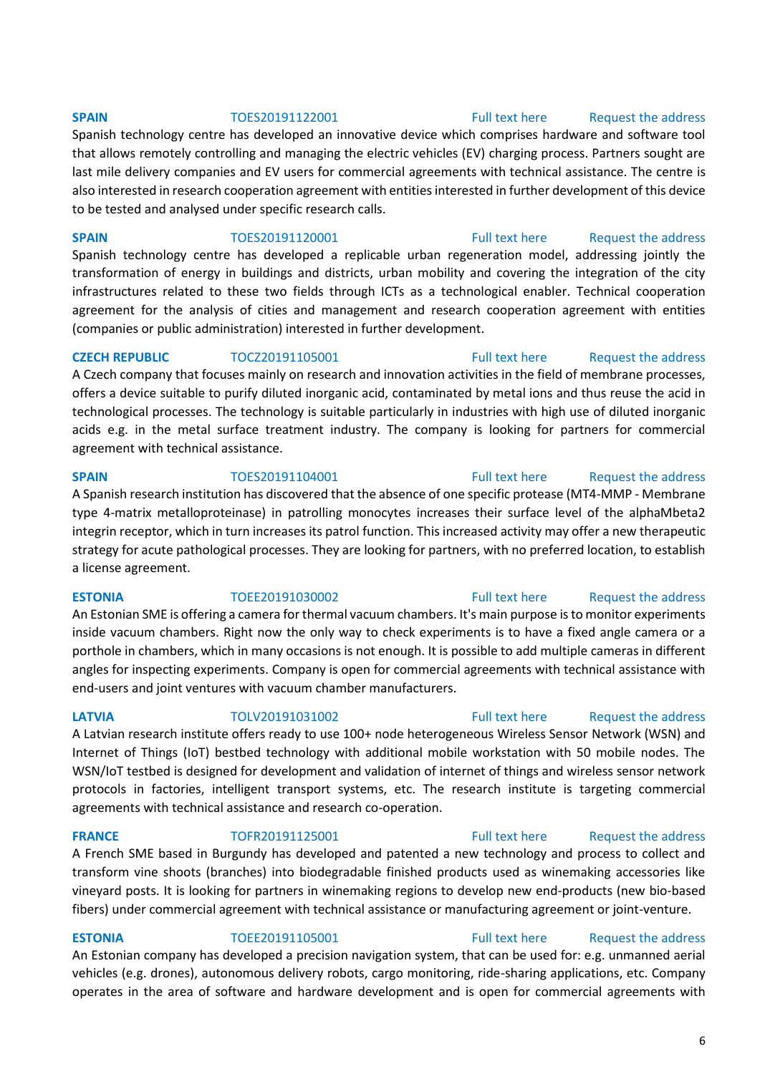### **SPAIN** TOES20191122001 [Full text here](https://een.ec.europa.eu/tools/services/PRO/Profile/Detail/44f08115-3c0a-4730-bb7b-233cb53e4263) Request the address

Spanish technology centre has developed an innovative device which comprises hardware and software tool that allows remotely controlling and managing the electric vehicles (EV) charging process. Partners sought are last mile delivery companies and EV users for commercial agreements with technical assistance. The centre is also interested in research cooperation agreement with entities interested in further development of this device to be tested and analysed under specific research calls.

**SPAIN** TOES20191120001 [Full text here](https://een.ec.europa.eu/tools/services/PRO/Profile/Detail/94b1b741-e6e4-4932-973d-e781368181f3) Request the address Spanish technology centre has developed a replicable urban regeneration model, addressing jointly the transformation of energy in buildings and districts, urban mobility and covering the integration of the city infrastructures related to these two fields through ICTs as a technological enabler. Technical cooperation agreement for the analysis of cities and management and research cooperation agreement with entities (companies or public administration) interested in further development.

**CZECH REPUBLIC** TOCZ20191105001 [Full text here](https://een.ec.europa.eu/tools/services/PRO/Profile/Detail/85a5dae4-7756-4dd1-8408-b5331bcac131) Request the address A Czech company that focuses mainly on research and innovation activities in the field of membrane processes, offers a device suitable to purify diluted inorganic acid, contaminated by metal ions and thus reuse the acid in technological processes. The technology is suitable particularly in industries with high use of diluted inorganic acids e.g. in the metal surface treatment industry. The company is looking for partners for commercial agreement with technical assistance.

### **SPAIN** TOES20191104001 [Full text here](https://een.ec.europa.eu/tools/services/PRO/Profile/Detail/47e95500-de93-4285-8d87-1ac993d8a239) Request the address

A Spanish research institution has discovered that the absence of one specific protease (MT4-MMP - Membrane type 4-matrix metalloproteinase) in patrolling monocytes increases their surface level of the alphaMbeta2 integrin receptor, which in turn increases its patrol function. This increased activity may offer a new therapeutic strategy for acute pathological processes. They are looking for partners, with no preferred location, to establish a license agreement.

An Estonian SME is offering a camera for thermal vacuum chambers. It's main purpose is to monitor experiments inside vacuum chambers. Right now the only way to check experiments is to have a fixed angle camera or a porthole in chambers, which in many occasions is not enough. It is possible to add multiple cameras in different angles for inspecting experiments. Company is open for commercial agreements with technical assistance with end-users and joint ventures with vacuum chamber manufacturers.

A Latvian research institute offers ready to use 100+ node heterogeneous Wireless Sensor Network (WSN) and Internet of Things (IoT) bestbed technology with additional mobile workstation with 50 mobile nodes. The WSN/IoT testbed is designed for development and validation of internet of things and wireless sensor network protocols in factories, intelligent transport systems, etc. The research institute is targeting commercial agreements with technical assistance and research co-operation.

**FRANCE** TOFR20191125001 [Full text here](https://een.ec.europa.eu/tools/services/PRO/Profile/Detail/fc79af68-96c0-4d8e-8d48-dbd5eb6f705a) Request the address

A French SME based in Burgundy has developed and patented a new technology and process to collect and transform vine shoots (branches) into biodegradable finished products used as winemaking accessories like vineyard posts. It is looking for partners in winemaking regions to develop new end-products (new bio-based fibers) under commercial agreement with technical assistance or manufacturing agreement or joint-venture.

### **ESTONIA** TOEE20191105001 [Full text here](https://een.ec.europa.eu/tools/services/PRO/Profile/Detail/9e62d8e4-d22e-4346-9925-4106507ac284) Request the address

An Estonian company has developed a precision navigation system, that can be used for: e.g. unmanned aerial vehicles (e.g. drones), autonomous delivery robots, cargo monitoring, ride-sharing applications, etc. Company operates in the area of software and hardware development and is open for commercial agreements with

## **ESTONIA** TOEE20191030002 [Full text here](https://een.ec.europa.eu/tools/services/PRO/Profile/Detail/d4e20d13-ee24-48b8-ab6a-fd8b9a9c0ef6) Request the address

## **LATVIA** TOLV20191031002 [Full text here](https://een.ec.europa.eu/tools/services/PRO/Profile/Detail/b2dbec03-aeea-40d6-9df9-5aaa2e339a38) [Request the address](http://www.een.bg/index.php?option=com_rsform&formId=13)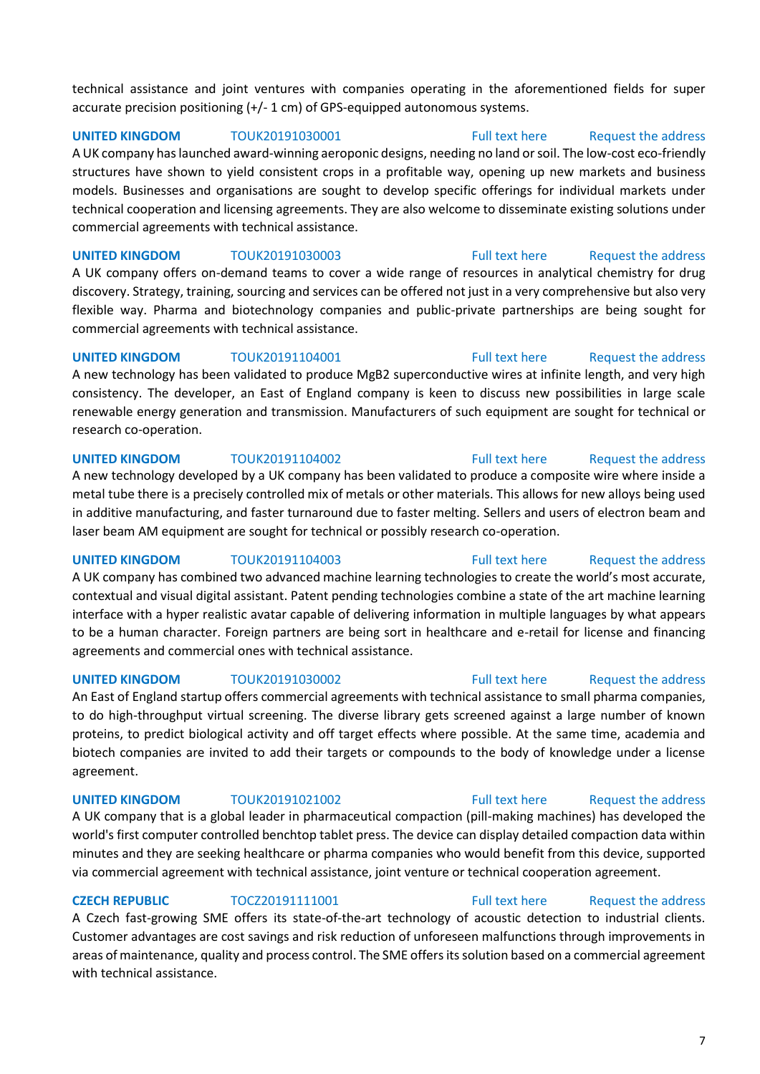technical assistance and joint ventures with companies operating in the aforementioned fields for super accurate precision positioning (+/- 1 cm) of GPS-equipped autonomous systems.

**UNITED KINGDOM** TOUK20191030001 [Full text here](https://een.ec.europa.eu/tools/services/PRO/Profile/Detail/8d5b2647-0d63-4c35-9e6e-9b3de2336eec) [Request the address](http://www.een.bg/index.php?option=com_rsform&formId=13) 

A UK company has launched award-winning aeroponic designs, needing no land or soil. The low-cost eco-friendly structures have shown to yield consistent crops in a profitable way, opening up new markets and business models. Businesses and organisations are sought to develop specific offerings for individual markets under technical cooperation and licensing agreements. They are also welcome to disseminate existing solutions under commercial agreements with technical assistance.

**UNITED KINGDOM** TOUK20191030003 [Full text here](https://een.ec.europa.eu/tools/services/PRO/Profile/Detail/12fd5286-76d5-4646-82e9-f36617c64901) Request the address A UK company offers on-demand teams to cover a wide range of resources in analytical chemistry for drug discovery. Strategy, training, sourcing and services can be offered not just in a very comprehensive but also very flexible way. Pharma and biotechnology companies and public-private partnerships are being sought for commercial agreements with technical assistance.

**UNITED KINGDOM** TOUK20191104001 **Full text here** Request the address A new technology has been validated to produce MgB2 superconductive wires at infinite length, and very high consistency. The developer, an East of England company is keen to discuss new possibilities in large scale renewable energy generation and transmission. Manufacturers of such equipment are sought for technical or research co-operation.

### **UNITED KINGDOM** TOUK20191104002 **Full text here** Request the address

A new technology developed by a UK company has been validated to produce a composite wire where inside a metal tube there is a precisely controlled mix of metals or other materials. This allows for new alloys being used in additive manufacturing, and faster turnaround due to faster melting. Sellers and users of electron beam and laser beam AM equipment are sought for technical or possibly research co-operation.

### **UNITED KINGDOM** TOUK20191104003 [Full text here](https://een.ec.europa.eu/tools/services/PRO/Profile/Detail/dce98e17-5ba1-4618-a07f-a684ba22745b) Request the address

A UK company has combined two advanced machine learning technologies to create the world's most accurate, contextual and visual digital assistant. Patent pending technologies combine a state of the art machine learning interface with a hyper realistic avatar capable of delivering information in multiple languages by what appears to be a human character. Foreign partners are being sort in healthcare and e-retail for license and financing agreements and commercial ones with technical assistance.

agreement.

# biotech companies are invited to add their targets or compounds to the body of knowledge under a license

A UK company that is a global leader in pharmaceutical compaction (pill-making machines) has developed the world's first computer controlled benchtop tablet press. The device can display detailed compaction data within minutes and they are seeking healthcare or pharma companies who would benefit from this device, supported via commercial agreement with technical assistance, joint venture or technical cooperation agreement.

**CZECH REPUBLIC** TOCZ20191111001 [Full text here](https://een.ec.europa.eu/tools/services/PRO/Profile/Detail/fd335e58-6c85-4343-9a5f-b9447acd8dfd) Request the address A Czech fast-growing SME offers its state-of-the-art technology of acoustic detection to industrial clients. Customer advantages are cost savings and risk reduction of unforeseen malfunctions through improvements in areas of maintenance, quality and process control. The SME offers its solution based on a commercial agreement with technical assistance.

An East of England startup offers commercial agreements with technical assistance to small pharma companies,

### to do high-throughput virtual screening. The diverse library gets screened against a large number of known proteins, to predict biological activity and off target effects where possible. At the same time, academia and

## **UNITED KINGDOM** TOUK20191021002 **Full text here** Request the address

## **UNITED KINGDOM** TOUK20191030002 **Full text here** Request the address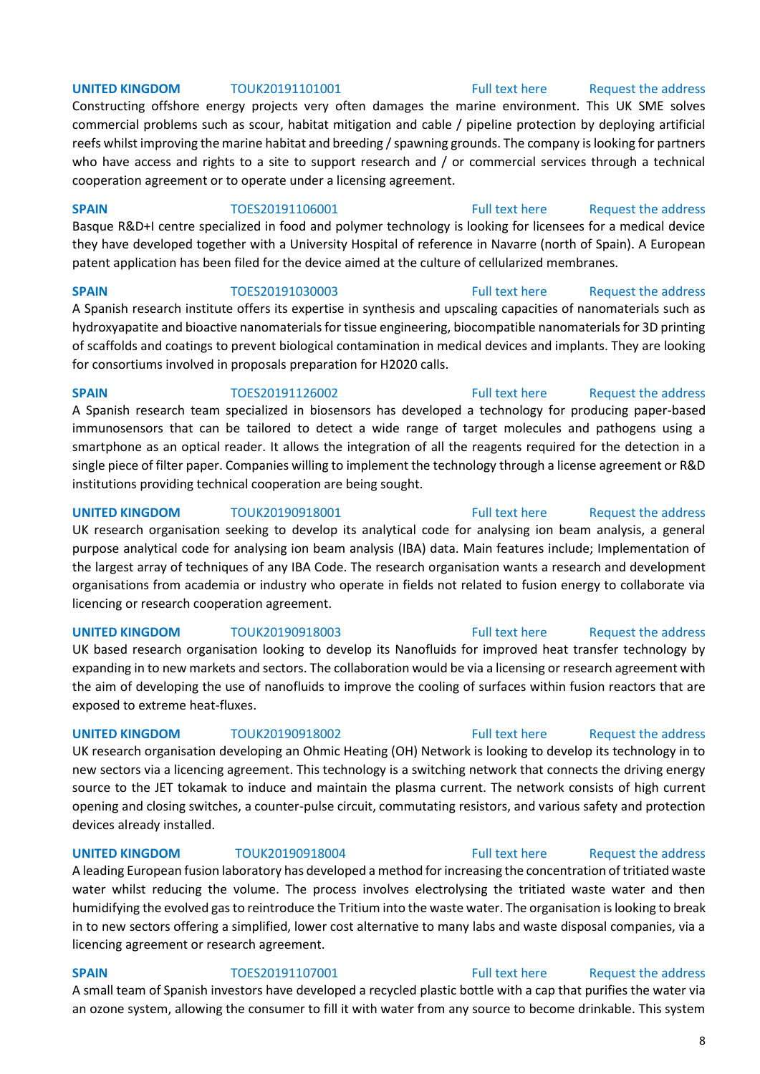### **UNITED KINGDOM** TOUK20191101001 [Full text here](https://een.ec.europa.eu/tools/services/PRO/Profile/Detail/c9349c76-ae4a-4542-8dd1-8de889ce139c) Request the address

Constructing offshore energy projects very often damages the marine environment. This UK SME solves commercial problems such as scour, habitat mitigation and cable / pipeline protection by deploying artificial reefs whilst improving the marine habitat and breeding / spawning grounds. The company is looking for partners who have access and rights to a site to support research and / or commercial services through a technical cooperation agreement or to operate under a licensing agreement.

**SPAIN** TOES20191106001 [Full text here](https://een.ec.europa.eu/tools/services/PRO/Profile/Detail/497d10dd-397a-4a9f-b620-5d27d1a62998) Request the address

Basque R&D+I centre specialized in food and polymer technology is looking for licensees for a medical device they have developed together with a University Hospital of reference in Navarre (north of Spain). A European patent application has been filed for the device aimed at the culture of cellularized membranes.

**SPAIN** TOES20191030003 [Full text here](https://een.ec.europa.eu/tools/services/PRO/Profile/Detail/b7e3fe4e-b15a-4603-ae7a-b0006de57df7) Request the address

A Spanish research institute offers its expertise in synthesis and upscaling capacities of nanomaterials such as hydroxyapatite and bioactive nanomaterials for tissue engineering, biocompatible nanomaterials for 3D printing of scaffolds and coatings to prevent biological contamination in medical devices and implants. They are looking for consortiums involved in proposals preparation for H2020 calls.

### **SPAIN** TOES20191126002 [Full text here](https://een.ec.europa.eu/tools/services/PRO/Profile/Detail/816ce681-c913-44e0-a685-bd383b5246d1) Request the address

A Spanish research team specialized in biosensors has developed a technology for producing paper-based immunosensors that can be tailored to detect a wide range of target molecules and pathogens using a smartphone as an optical reader. It allows the integration of all the reagents required for the detection in a single piece of filter paper. Companies willing to implement the technology through a license agreement or R&D institutions providing technical cooperation are being sought.

### **UNITED KINGDOM** TOUK20190918001 [Full text here](https://een.ec.europa.eu/tools/services/PRO/Profile/Detail/f2cd1246-c021-4bca-be12-894f4d9629f7) Request the address

UK research organisation seeking to develop its analytical code for analysing ion beam analysis, a general purpose analytical code for analysing ion beam analysis (IBA) data. Main features include; Implementation of the largest array of techniques of any IBA Code. The research organisation wants a research and development organisations from academia or industry who operate in fields not related to fusion energy to collaborate via licencing or research cooperation agreement.

### **UNITED KINGDOM** TOUK20190918003 [Full text here](https://een.ec.europa.eu/tools/services/PRO/Profile/Detail/4af65cd4-3363-4dd9-9b5b-b4ceec62f382) Request the address

UK based research organisation looking to develop its Nanofluids for improved heat transfer technology by expanding in to new markets and sectors. The collaboration would be via a licensing or research agreement with the aim of developing the use of nanofluids to improve the cooling of surfaces within fusion reactors that are exposed to extreme heat-fluxes.

## **UNITED KINGDOM** TOUK20190918002 **Full text here** Request the address

UK research organisation developing an Ohmic Heating (OH) Network is looking to develop its technology in to new sectors via a licencing agreement. This technology is a switching network that connects the driving energy source to the JET tokamak to induce and maintain the plasma current. The network consists of high current opening and closing switches, a counter-pulse circuit, commutating resistors, and various safety and protection devices already installed.

## **UNITED KINGDOM** TOUK20190918004 **Full text here** Request the address

A leading European fusion laboratory has developed a method for increasing the concentration of tritiated waste water whilst reducing the volume. The process involves electrolysing the tritiated waste water and then humidifying the evolved gas to reintroduce the Tritium into the waste water. The organisation is looking to break in to new sectors offering a simplified, lower cost alternative to many labs and waste disposal companies, via a licencing agreement or research agreement.

**SPAIN** TOES20191107001 [Full text here](https://een.ec.europa.eu/tools/services/PRO/Profile/Detail/a6eca26f-7379-4b43-b71c-173b133fccc4) Request the address A small team of Spanish investors have developed a recycled plastic bottle with a cap that purifies the water via an ozone system, allowing the consumer to fill it with water from any source to become drinkable. This system

### 8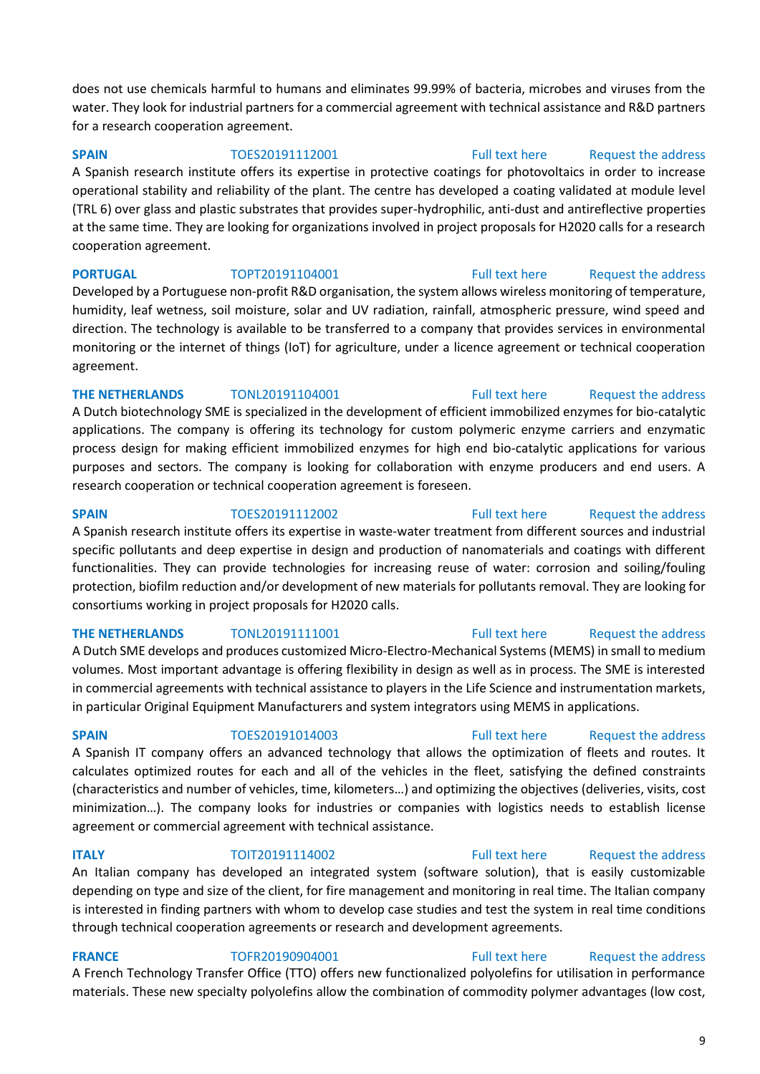does not use chemicals harmful to humans and eliminates 99.99% of bacteria, microbes and viruses from the water. They look for industrial partners for a commercial agreement with technical assistance and R&D partners for a research cooperation agreement.

### **SPAIN** TOES20191112001 [Full text here](https://een.ec.europa.eu/tools/services/PRO/Profile/Detail/75b47874-3558-41e5-b1ad-b52d4b43b523) Request the address

A Spanish research institute offers its expertise in protective coatings for photovoltaics in order to increase operational stability and reliability of the plant. The centre has developed a coating validated at module level (TRL 6) over glass and plastic substrates that provides super-hydrophilic, anti-dust and antireflective properties at the same time. They are looking for organizations involved in project proposals for H2020 calls for a research cooperation agreement.

**PORTUGAL** TOPT20191104001 [Full text here](https://een.ec.europa.eu/tools/services/PRO/Profile/Detail/4dc14e28-5853-4393-90d5-66d12b3a43c3) Request the address Developed by a Portuguese non-profit R&D organisation, the system allows wireless monitoring of temperature, humidity, leaf wetness, soil moisture, solar and UV radiation, rainfall, atmospheric pressure, wind speed and direction. The technology is available to be transferred to a company that provides services in environmental monitoring or the internet of things (IoT) for agriculture, under a licence agreement or technical cooperation agreement.

### **THE NETHERLANDS** TONL20191104001 [Full text here](https://een.ec.europa.eu/tools/services/PRO/Profile/Detail/f1e5a40f-4d11-43e9-876b-27dfb8013ae7) Request the address

A Dutch biotechnology SME is specialized in the development of efficient immobilized enzymes for bio-catalytic applications. The company is offering its technology for custom polymeric enzyme carriers and enzymatic process design for making efficient immobilized enzymes for high end bio-catalytic applications for various purposes and sectors. The company is looking for collaboration with enzyme producers and end users. A research cooperation or technical cooperation agreement is foreseen.

A Spanish research institute offers its expertise in waste-water treatment from different sources and industrial specific pollutants and deep expertise in design and production of nanomaterials and coatings with different functionalities. They can provide technologies for increasing reuse of water: corrosion and soiling/fouling protection, biofilm reduction and/or development of new materials for pollutants removal. They are looking for consortiums working in project proposals for H2020 calls.

### **THE NETHERLANDS** TONL20191111001 [Full text here](https://een.ec.europa.eu/tools/services/PRO/Profile/Detail/de131746-dfd5-4f6d-bb89-407273de3fa8) Request the address

A Dutch SME develops and produces customized Micro-Electro-Mechanical Systems (MEMS) in small to medium volumes. Most important advantage is offering flexibility in design as well as in process. The SME is interested in commercial agreements with technical assistance to players in the Life Science and instrumentation markets, in particular Original Equipment Manufacturers and system integrators using MEMS in applications.

## **SPAIN** TOES20191014003 [Full text here](https://een.ec.europa.eu/tools/services/PRO/Profile/Detail/8ca026e0-6656-427a-8af4-8cc432075baf) Request the address

A Spanish IT company offers an advanced technology that allows the optimization of fleets and routes. It calculates optimized routes for each and all of the vehicles in the fleet, satisfying the defined constraints (characteristics and number of vehicles, time, kilometers…) and optimizing the objectives (deliveries, visits, cost minimization…). The company looks for industries or companies with logistics needs to establish license agreement or commercial agreement with technical assistance.

## **ITALY TOIT20191114002** [Full text here](https://een.ec.europa.eu/tools/services/PRO/Profile/Detail/19373e6c-1610-41f2-bbaa-115a854ae9ac) Request the address

An Italian company has developed an integrated system (software solution), that is easily customizable depending on type and size of the client, for fire management and monitoring in real time. The Italian company is interested in finding partners with whom to develop case studies and test the system in real time conditions through technical cooperation agreements or research and development agreements.

## **FRANCE** TOFR20190904001 [Full text here](https://een.ec.europa.eu/tools/services/PRO/Profile/Detail/b4299016-4896-49ca-a1ec-c942606b2a66) Request the address

A French Technology Transfer Office (TTO) offers new functionalized polyolefins for utilisation in performance materials. These new specialty polyolefins allow the combination of commodity polymer advantages (low cost,

## **SPAIN** TOES20191112002 [Full text here](https://een.ec.europa.eu/tools/services/PRO/Profile/Detail/afe447b6-5080-42dc-8c17-e0dce61370e4) Request the address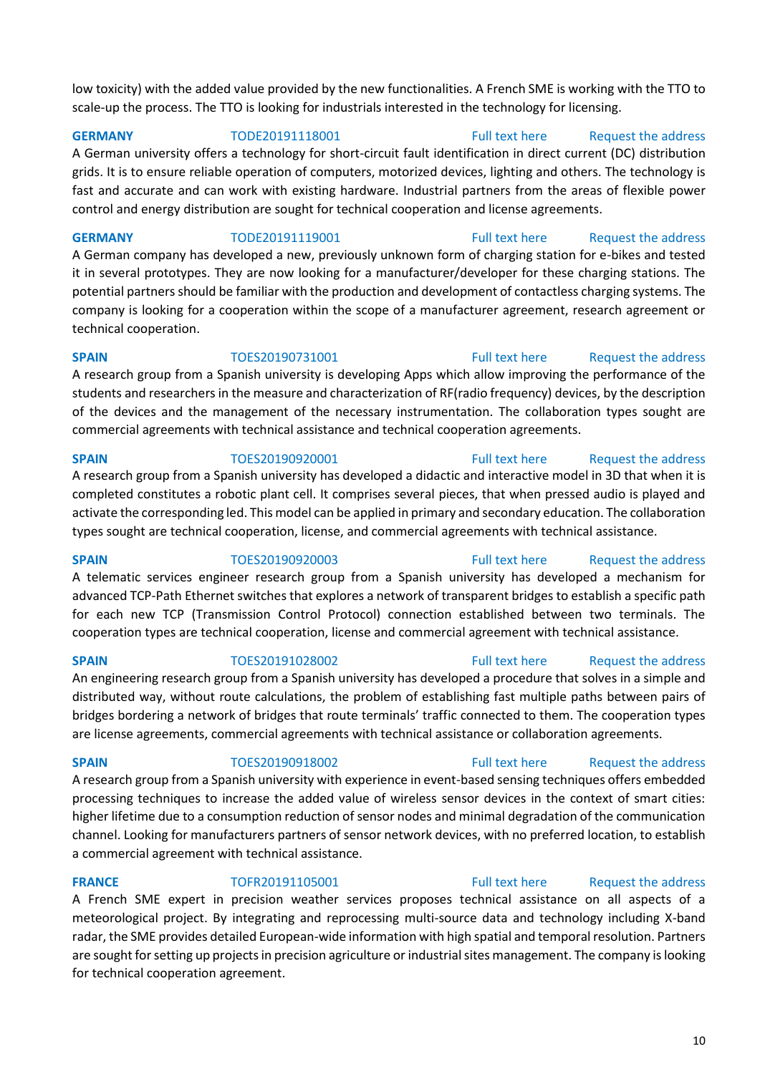low toxicity) with the added value provided by the new functionalities. A French SME is working with the TTO to scale-up the process. The TTO is looking for industrials interested in the technology for licensing.

**GERMANY** TODE20191118001 [Full text here](https://een.ec.europa.eu/tools/services/PRO/Profile/Detail/5c2ea3e4-231c-46fb-9851-766c6e7d9545) Request the address A German university offers a technology for short-circuit fault identification in direct current (DC) distribution grids. It is to ensure reliable operation of computers, motorized devices, lighting and others. The technology is fast and accurate and can work with existing hardware. Industrial partners from the areas of flexible power control and energy distribution are sought for technical cooperation and license agreements.

**GERMANY** TODE20191119001 [Full text here](https://een.ec.europa.eu/tools/services/PRO/Profile/Detail/11a91007-798c-4e01-a6bc-7eec55f68621) Request the address A German company has developed a new, previously unknown form of charging station for e-bikes and tested it in several prototypes. They are now looking for a manufacturer/developer for these charging stations. The potential partners should be familiar with the production and development of contactless charging systems. The company is looking for a cooperation within the scope of a manufacturer agreement, research agreement or technical cooperation.

**SPAIN** TOES20190731001 [Full text here](https://een.ec.europa.eu/tools/services/PRO/Profile/Detail/d9bbb710-3c7f-4c33-998d-1a850e6eac06) Request the address A research group from a Spanish university is developing Apps which allow improving the performance of the students and researchers in the measure and characterization of RF(radio frequency) devices, by the description of the devices and the management of the necessary instrumentation. The collaboration types sought are commercial agreements with technical assistance and technical cooperation agreements.

**SPAIN** TOES20190920001 [Full text here](https://een.ec.europa.eu/tools/services/PRO/Profile/Detail/7e05491f-9b08-4bc1-aa89-8535bcb5e166) Request the address A research group from a Spanish university has developed a didactic and interactive model in 3D that when it is completed constitutes a robotic plant cell. It comprises several pieces, that when pressed audio is played and activate the corresponding led. This model can be applied in primary and secondary education. The collaboration types sought are technical cooperation, license, and commercial agreements with technical assistance.

**SPAIN** TOES20190920003 [Full text here](https://een.ec.europa.eu/tools/services/PRO/Profile/Detail/c646126e-c4f4-4afc-bd28-b3f27e3d1454) Request the address A telematic services engineer research group from a Spanish university has developed a mechanism for advanced TCP-Path Ethernet switches that explores a network of transparent bridges to establish a specific path for each new TCP (Transmission Control Protocol) connection established between two terminals. The cooperation types are technical cooperation, license and commercial agreement with technical assistance.

**SPAIN** TOES20191028002 [Full text here](https://een.ec.europa.eu/tools/services/PRO/Profile/Detail/f6ba9463-9f81-4eb4-970a-c7067f0fb01d) Request the address

An engineering research group from a Spanish university has developed a procedure that solves in a simple and distributed way, without route calculations, the problem of establishing fast multiple paths between pairs of bridges bordering a network of bridges that route terminals' traffic connected to them. The cooperation types are license agreements, commercial agreements with technical assistance or collaboration agreements.

**SPAIN** TOES20190918002 [Full text here](https://een.ec.europa.eu/tools/services/PRO/Profile/Detail/2206311b-a6d7-45ce-b6fd-8e8b17a44435) Request the address A research group from a Spanish university with experience in event-based sensing techniques offers embedded processing techniques to increase the added value of wireless sensor devices in the context of smart cities: higher lifetime due to a consumption reduction of sensor nodes and minimal degradation of the communication channel. Looking for manufacturers partners of sensor network devices, with no preferred location, to establish a commercial agreement with technical assistance.

**FRANCE** TOFR20191105001 [Full text here](https://een.ec.europa.eu/tools/services/PRO/Profile/Detail/4bcd5c6e-acb5-48e4-9f60-41aabd25d136) Request the address A French SME expert in precision weather services proposes technical assistance on all aspects of a meteorological project. By integrating and reprocessing multi-source data and technology including X-band radar, the SME provides detailed European-wide information with high spatial and temporal resolution. Partners are sought for setting up projects in precision agriculture or industrial sites management. The company is looking for technical cooperation agreement.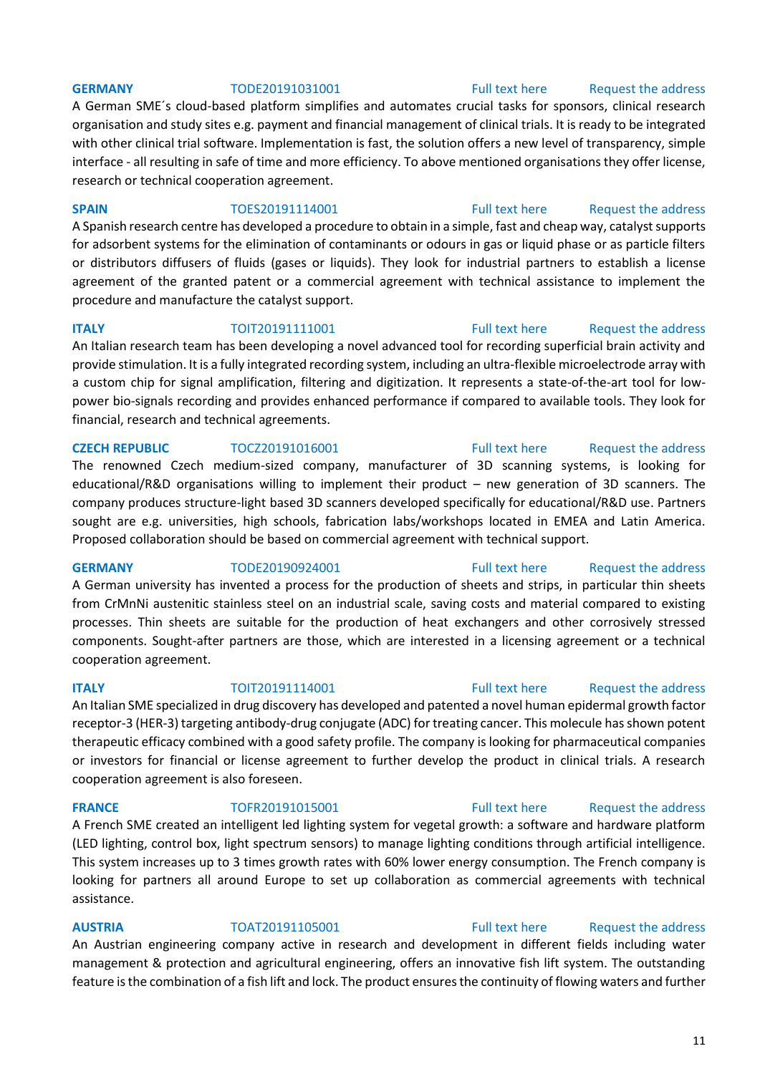A German SME´s cloud-based platform simplifies and automates crucial tasks for sponsors, clinical research organisation and study sites e.g. payment and financial management of clinical trials. It is ready to be integrated with other clinical trial software. Implementation is fast, the solution offers a new level of transparency, simple interface - all resulting in safe of time and more efficiency. To above mentioned organisations they offer license, research or technical cooperation agreement.

### **SPAIN** TOES20191114001 [Full text here](https://een.ec.europa.eu/tools/services/PRO/Profile/Detail/22baa689-9f40-467d-b5c0-1cb099f80ae1) Request the address

A Spanish research centre has developed a procedure to obtain in a simple, fast and cheap way, catalyst supports for adsorbent systems for the elimination of contaminants or odours in gas or liquid phase or as particle filters or distributors diffusers of fluids (gases or liquids). They look for industrial partners to establish a license agreement of the granted patent or a commercial agreement with technical assistance to implement the procedure and manufacture the catalyst support.

**ITALY TOIT20191111001** [Full text here](https://een.ec.europa.eu/tools/services/PRO/Profile/Detail/33fe198e-e113-4abe-8179-826c321fbcf7) Request the address An Italian research team has been developing a novel advanced tool for recording superficial brain activity and provide stimulation. It is a fully integrated recording system, including an ultra-flexible microelectrode array with a custom chip for signal amplification, filtering and digitization. It represents a state-of-the-art tool for lowpower bio-signals recording and provides enhanced performance if compared to available tools. They look for financial, research and technical agreements.

## **CZECH REPUBLIC** TOCZ20191016001 [Full text here](https://een.ec.europa.eu/tools/services/PRO/Profile/Detail/5aca590e-8ecd-477e-8227-4aa5f83f0609) Request the address

The renowned Czech medium-sized company, manufacturer of 3D scanning systems, is looking for educational/R&D organisations willing to implement their product – new generation of 3D scanners. The company produces structure-light based 3D scanners developed specifically for educational/R&D use. Partners sought are e.g. universities, high schools, fabrication labs/workshops located in EMEA and Latin America. Proposed collaboration should be based on commercial agreement with technical support.

## **GERMANY** TODE20190924001 [Full text here](https://een.ec.europa.eu/tools/services/PRO/Profile/Detail/d834495f-30fd-49e4-9515-90fcfb14605b) Request the address

A German university has invented a process for the production of sheets and strips, in particular thin sheets from CrMnNi austenitic stainless steel on an industrial scale, saving costs and material compared to existing processes. Thin sheets are suitable for the production of heat exchangers and other corrosively stressed components. Sought-after partners are those, which are interested in a licensing agreement or a technical cooperation agreement.

An Italian SME specialized in drug discovery has developed and patented a novel human epidermal growth factor receptor-3 (HER-3) targeting antibody-drug conjugate (ADC) for treating cancer. This molecule has shown potent therapeutic efficacy combined with a good safety profile. The company is looking for pharmaceutical companies or investors for financial or license agreement to further develop the product in clinical trials. A research cooperation agreement is also foreseen.

## A French SME created an intelligent led lighting system for vegetal growth: a software and hardware platform (LED lighting, control box, light spectrum sensors) to manage lighting conditions through artificial intelligence. This system increases up to 3 times growth rates with 60% lower energy consumption. The French company is looking for partners all around Europe to set up collaboration as commercial agreements with technical assistance.

## **AUSTRIA** TOAT20191105001 [Full text here](https://een.ec.europa.eu/tools/services/PRO/Profile/Detail/905756d8-da86-4e89-8bb5-95387bcc605d) [Request the address](http://www.een.bg/index.php?option=com_rsform&formId=13)  An Austrian engineering company active in research and development in different fields including water management & protection and agricultural engineering, offers an innovative fish lift system. The outstanding feature is the combination of a fish lift and lock. The product ensures the continuity of flowing waters and further

## **FRANCE** TOFR20191015001 [Full text here](https://een.ec.europa.eu/tools/services/PRO/Profile/Detail/4169e4af-9958-4369-ae47-1d6bf149f7c8) Request the address

## **ITALY TOIT20191114001** [Full text here](https://een.ec.europa.eu/tools/services/PRO/Profile/Detail/5e75a835-5f2b-4748-ac2f-c25a3b0f9bc5) Request the address

## **GERMANY** TODE20191031001 [Full text here](https://een.ec.europa.eu/tools/services/PRO/Profile/Detail/5fb18495-4241-4507-92d2-f2672ab30add) Request the address